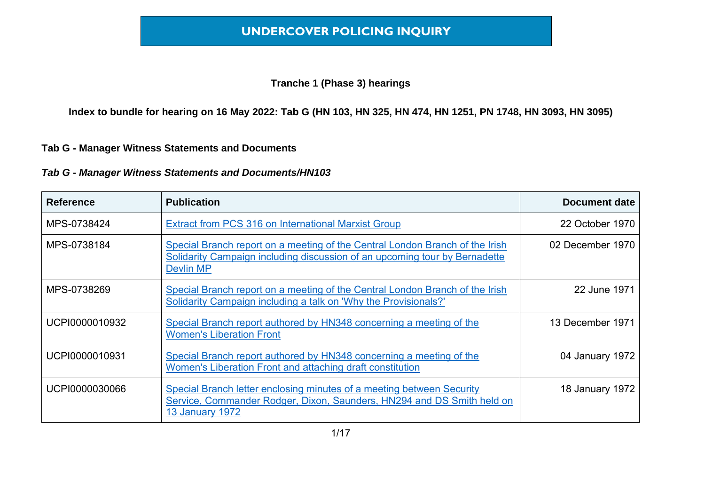#### **Tranche 1 (Phase 3) hearings**

**Index to bundle for hearing on 16 May 2022: Tab G (HN 103, HN 325, HN 474, HN 1251, PN 1748, HN 3093, HN 3095)**

#### **Tab G - Manager Witness Statements and Documents**

| <b>Reference</b> | <b>Publication</b>                                                                                                                                                        | <b>Document date</b> |
|------------------|---------------------------------------------------------------------------------------------------------------------------------------------------------------------------|----------------------|
| MPS-0738424      | Extract from PCS 316 on International Marxist Group                                                                                                                       | 22 October 1970      |
| MPS-0738184      | Special Branch report on a meeting of the Central London Branch of the Irish<br>Solidarity Campaign including discussion of an upcoming tour by Bernadette<br>Devlin MP   | 02 December 1970     |
| MPS-0738269      | Special Branch report on a meeting of the Central London Branch of the Irish<br>Solidarity Campaign including a talk on 'Why the Provisionals?'                           | 22 June 1971         |
| UCPI0000010932   | Special Branch report authored by HN348 concerning a meeting of the<br><b>Women's Liberation Front</b>                                                                    | 13 December 1971     |
| UCPI0000010931   | Special Branch report authored by HN348 concerning a meeting of the<br>Women's Liberation Front and attaching draft constitution                                          | 04 January 1972      |
| UCPI0000030066   | Special Branch letter enclosing minutes of a meeting between Security<br>Service, Commander Rodger, Dixon, Saunders, HN294 and DS Smith held on<br><b>13 January 1972</b> | 18 January 1972      |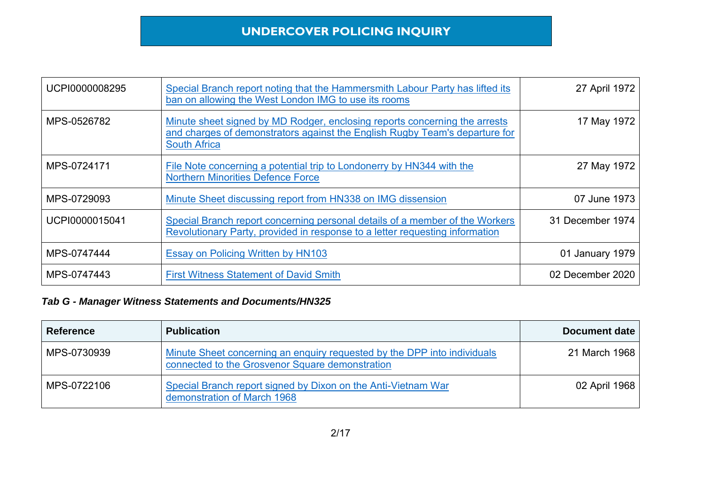| UCPI0000008295 | Special Branch report noting that the Hammersmith Labour Party has lifted its<br>ban on allowing the West London IMG to use its rooms                                            | 27 April 1972    |
|----------------|----------------------------------------------------------------------------------------------------------------------------------------------------------------------------------|------------------|
| MPS-0526782    | Minute sheet signed by MD Rodger, enclosing reports concerning the arrests<br>and charges of demonstrators against the English Rugby Team's departure for<br><b>South Africa</b> | 17 May 1972      |
| MPS-0724171    | File Note concerning a potential trip to Londonerry by HN344 with the<br><b>Northern Minorities Defence Force</b>                                                                | 27 May 1972      |
| MPS-0729093    | Minute Sheet discussing report from HN338 on IMG dissension                                                                                                                      | 07 June 1973     |
| UCPI0000015041 | Special Branch report concerning personal details of a member of the Workers<br>Revolutionary Party, provided in response to a letter requesting information                     | 31 December 1974 |
| MPS-0747444    | Essay on Policing Written by HN103                                                                                                                                               | 01 January 1979  |
| MPS-0747443    | <b>First Witness Statement of David Smith</b>                                                                                                                                    | 02 December 2020 |

| <b>Reference</b> | <b>Publication</b>                                                                                                          | Document date |
|------------------|-----------------------------------------------------------------------------------------------------------------------------|---------------|
| MPS-0730939      | Minute Sheet concerning an enquiry requested by the DPP into individuals<br>connected to the Grosvenor Square demonstration | 21 March 1968 |
| MPS-0722106      | Special Branch report signed by Dixon on the Anti-Vietnam War<br>demonstration of March 1968                                | 02 April 1968 |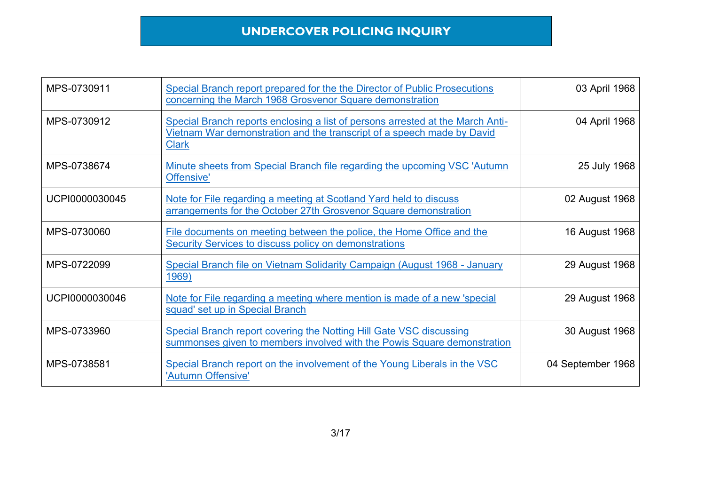| MPS-0730911    | Special Branch report prepared for the the Director of Public Prosecutions<br>concerning the March 1968 Grosvenor Square demonstration                                   | 03 April 1968     |
|----------------|--------------------------------------------------------------------------------------------------------------------------------------------------------------------------|-------------------|
| MPS-0730912    | Special Branch reports enclosing a list of persons arrested at the March Anti-<br>Vietnam War demonstration and the transcript of a speech made by David<br><b>Clark</b> | 04 April 1968     |
| MPS-0738674    | Minute sheets from Special Branch file regarding the upcoming VSC 'Autumn<br>Offensive'                                                                                  | 25 July 1968      |
| UCPI0000030045 | Note for File regarding a meeting at Scotland Yard held to discuss<br>arrangements for the October 27th Grosvenor Square demonstration                                   | 02 August 1968    |
| MPS-0730060    | File documents on meeting between the police, the Home Office and the<br><b>Security Services to discuss policy on demonstrations</b>                                    | 16 August 1968    |
| MPS-0722099    | Special Branch file on Vietnam Solidarity Campaign (August 1968 - January<br>1969)                                                                                       | 29 August 1968    |
| UCPI0000030046 | Note for File regarding a meeting where mention is made of a new 'special<br>squad' set up in Special Branch                                                             | 29 August 1968    |
| MPS-0733960    | Special Branch report covering the Notting Hill Gate VSC discussing<br>summonses given to members involved with the Powis Square demonstration                           | 30 August 1968    |
| MPS-0738581    | Special Branch report on the involvement of the Young Liberals in the VSC<br>'Autumn Offensive'                                                                          | 04 September 1968 |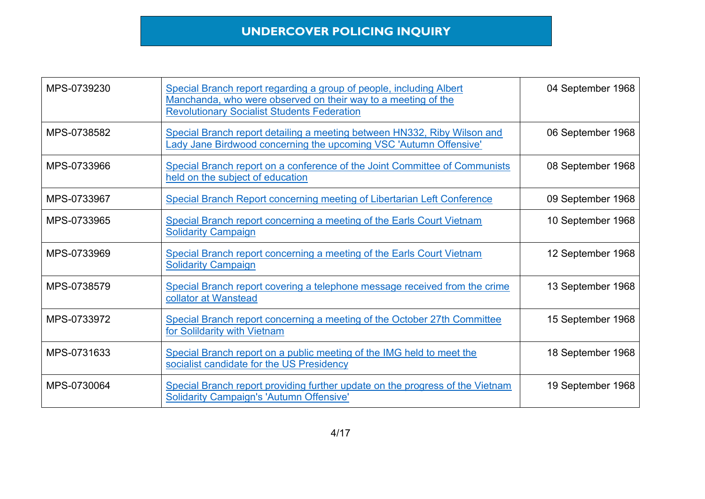| MPS-0739230 | Special Branch report regarding a group of people, including Albert<br>Manchanda, who were observed on their way to a meeting of the<br><b>Revolutionary Socialist Students Federation</b> | 04 September 1968 |
|-------------|--------------------------------------------------------------------------------------------------------------------------------------------------------------------------------------------|-------------------|
| MPS-0738582 | Special Branch report detailing a meeting between HN332, Riby Wilson and<br>Lady Jane Birdwood concerning the upcoming VSC 'Autumn Offensive'                                              | 06 September 1968 |
| MPS-0733966 | Special Branch report on a conference of the Joint Committee of Communists<br>held on the subject of education                                                                             | 08 September 1968 |
| MPS-0733967 | Special Branch Report concerning meeting of Libertarian Left Conference                                                                                                                    | 09 September 1968 |
| MPS-0733965 | Special Branch report concerning a meeting of the Earls Court Vietnam<br><b>Solidarity Campaign</b>                                                                                        | 10 September 1968 |
| MPS-0733969 | Special Branch report concerning a meeting of the Earls Court Vietnam<br><b>Solidarity Campaign</b>                                                                                        | 12 September 1968 |
| MPS-0738579 | Special Branch report covering a telephone message received from the crime<br>collator at Wanstead                                                                                         | 13 September 1968 |
| MPS-0733972 | Special Branch report concerning a meeting of the October 27th Committee<br>for Solildarity with Vietnam                                                                                   | 15 September 1968 |
| MPS-0731633 | Special Branch report on a public meeting of the IMG held to meet the<br>socialist candidate for the US Presidency                                                                         | 18 September 1968 |
| MPS-0730064 | Special Branch report providing further update on the progress of the Vietnam<br><b>Solidarity Campaign's 'Autumn Offensive'</b>                                                           | 19 September 1968 |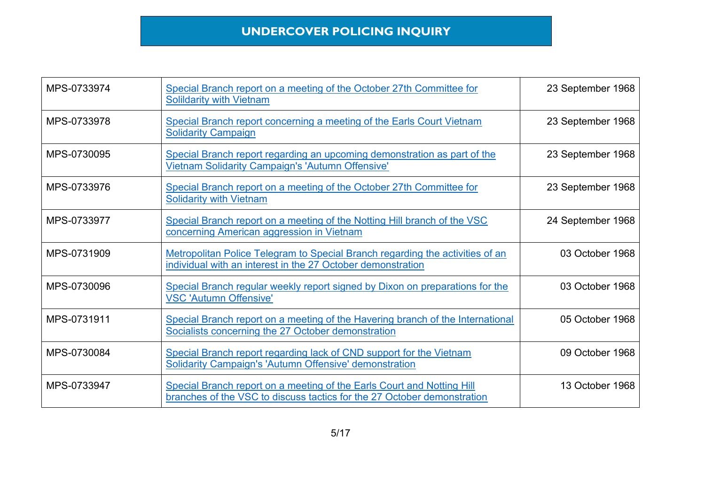| MPS-0733974 | Special Branch report on a meeting of the October 27th Committee for<br><b>Solildarity with Vietnam</b>                                           | 23 September 1968 |
|-------------|---------------------------------------------------------------------------------------------------------------------------------------------------|-------------------|
| MPS-0733978 | Special Branch report concerning a meeting of the Earls Court Vietnam<br><b>Solidarity Campaign</b>                                               | 23 September 1968 |
| MPS-0730095 | Special Branch report regarding an upcoming demonstration as part of the<br>Vietnam Solidarity Campaign's 'Autumn Offensive'                      | 23 September 1968 |
| MPS-0733976 | Special Branch report on a meeting of the October 27th Committee for<br><b>Solidarity with Vietnam</b>                                            | 23 September 1968 |
| MPS-0733977 | Special Branch report on a meeting of the Notting Hill branch of the VSC<br>concerning American aggression in Vietnam                             | 24 September 1968 |
| MPS-0731909 | Metropolitan Police Telegram to Special Branch regarding the activities of an<br>individual with an interest in the 27 October demonstration      | 03 October 1968   |
| MPS-0730096 | Special Branch regular weekly report signed by Dixon on preparations for the<br><b>VSC 'Autumn Offensive'</b>                                     | 03 October 1968   |
| MPS-0731911 | Special Branch report on a meeting of the Havering branch of the International<br>Socialists concerning the 27 October demonstration              | 05 October 1968   |
| MPS-0730084 | Special Branch report regarding lack of CND support for the Vietnam<br><b>Solidarity Campaign's 'Autumn Offensive' demonstration</b>              | 09 October 1968   |
| MPS-0733947 | Special Branch report on a meeting of the Earls Court and Notting Hill<br>branches of the VSC to discuss tactics for the 27 October demonstration | 13 October 1968   |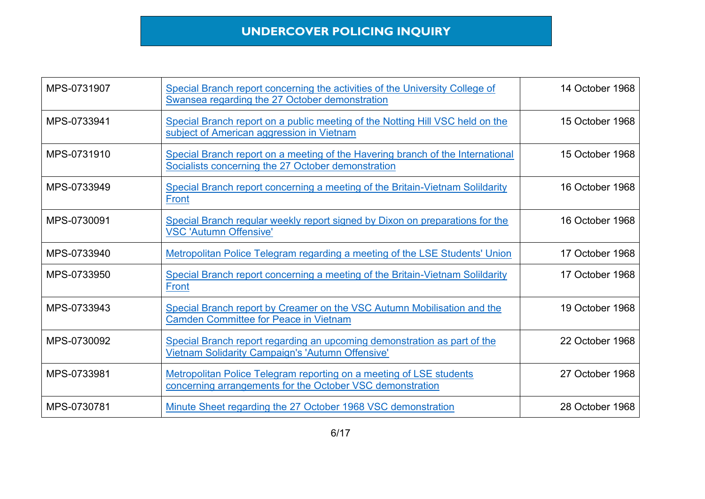| MPS-0731907 | Special Branch report concerning the activities of the University College of<br>Swansea regarding the 27 October demonstration       | 14 October 1968 |
|-------------|--------------------------------------------------------------------------------------------------------------------------------------|-----------------|
| MPS-0733941 | Special Branch report on a public meeting of the Notting Hill VSC held on the<br>subject of American aggression in Vietnam           | 15 October 1968 |
| MPS-0731910 | Special Branch report on a meeting of the Havering branch of the International<br>Socialists concerning the 27 October demonstration | 15 October 1968 |
| MPS-0733949 | Special Branch report concerning a meeting of the Britain-Vietnam Solildarity<br>Front                                               | 16 October 1968 |
| MPS-0730091 | Special Branch regular weekly report signed by Dixon on preparations for the<br><b>VSC 'Autumn Offensive'</b>                        | 16 October 1968 |
| MPS-0733940 | Metropolitan Police Telegram regarding a meeting of the LSE Students' Union                                                          | 17 October 1968 |
| MPS-0733950 | Special Branch report concerning a meeting of the Britain-Vietnam Solildarity<br><b>Front</b>                                        | 17 October 1968 |
| MPS-0733943 | Special Branch report by Creamer on the VSC Autumn Mobilisation and the<br><b>Camden Committee for Peace in Vietnam</b>              | 19 October 1968 |
| MPS-0730092 | Special Branch report regarding an upcoming demonstration as part of the<br>Vietnam Solidarity Campaign's 'Autumn Offensive'         | 22 October 1968 |
| MPS-0733981 | Metropolitan Police Telegram reporting on a meeting of LSE students<br>concerning arrangements for the October VSC demonstration     | 27 October 1968 |
| MPS-0730781 | Minute Sheet regarding the 27 October 1968 VSC demonstration                                                                         | 28 October 1968 |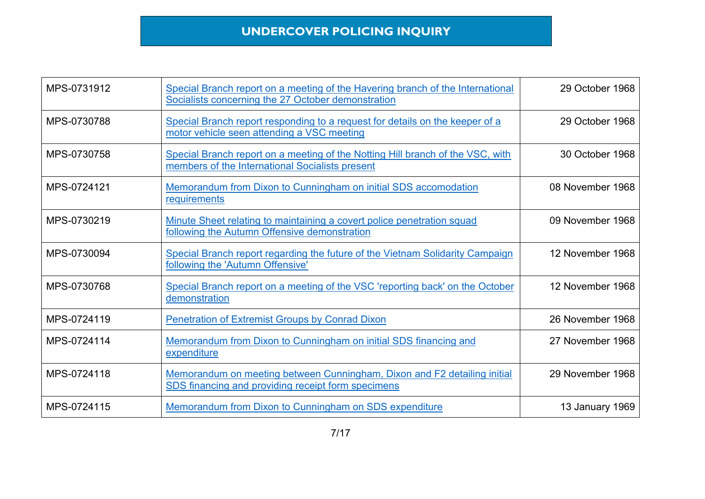| MPS-0731912 | Special Branch report on a meeting of the Havering branch of the International<br>Socialists concerning the 27 October demonstration | 29 October 1968  |
|-------------|--------------------------------------------------------------------------------------------------------------------------------------|------------------|
| MPS-0730788 | Special Branch report responding to a request for details on the keeper of a<br>motor vehicle seen attending a VSC meeting           | 29 October 1968  |
| MPS-0730758 | Special Branch report on a meeting of the Notting Hill branch of the VSC, with<br>members of the International Socialists present    | 30 October 1968  |
| MPS-0724121 | Memorandum from Dixon to Cunningham on initial SDS accomodation<br>requirements                                                      | 08 November 1968 |
| MPS-0730219 | Minute Sheet relating to maintaining a covert police penetration squad<br>following the Autumn Offensive demonstration               | 09 November 1968 |
| MPS-0730094 | Special Branch report regarding the future of the Vietnam Solidarity Campaign<br>following the 'Autumn Offensive'                    | 12 November 1968 |
| MPS-0730768 | Special Branch report on a meeting of the VSC 'reporting back' on the October<br>demonstration                                       | 12 November 1968 |
| MPS-0724119 | <b>Penetration of Extremist Groups by Conrad Dixon</b>                                                                               | 26 November 1968 |
| MPS-0724114 | Memorandum from Dixon to Cunningham on initial SDS financing and<br>expenditure                                                      | 27 November 1968 |
| MPS-0724118 | Memorandum on meeting between Cunningham, Dixon and F2 detailing initial<br>SDS financing and providing receipt form specimens       | 29 November 1968 |
| MPS-0724115 | Memorandum from Dixon to Cunningham on SDS expenditure                                                                               | 13 January 1969  |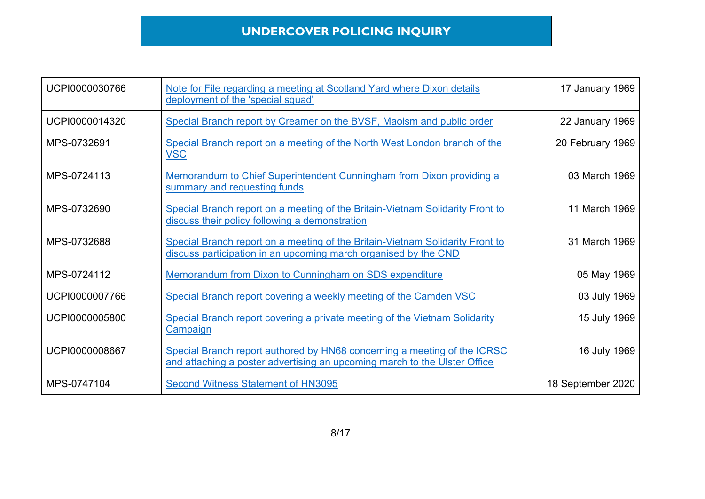| UCPI0000030766 | Note for File regarding a meeting at Scotland Yard where Dixon details<br>deployment of the 'special squad'                                           | 17 January 1969   |
|----------------|-------------------------------------------------------------------------------------------------------------------------------------------------------|-------------------|
| UCPI0000014320 | Special Branch report by Creamer on the BVSF, Maoism and public order                                                                                 | 22 January 1969   |
| MPS-0732691    | Special Branch report on a meeting of the North West London branch of the<br><b>VSC</b>                                                               | 20 February 1969  |
| MPS-0724113    | Memorandum to Chief Superintendent Cunningham from Dixon providing a<br>summary and requesting funds                                                  | 03 March 1969     |
| MPS-0732690    | Special Branch report on a meeting of the Britain-Vietnam Solidarity Front to<br>discuss their policy following a demonstration                       | 11 March 1969     |
| MPS-0732688    | Special Branch report on a meeting of the Britain-Vietnam Solidarity Front to<br>discuss participation in an upcoming march organised by the CND      | 31 March 1969     |
| MPS-0724112    | Memorandum from Dixon to Cunningham on SDS expenditure                                                                                                | 05 May 1969       |
| UCPI0000007766 | Special Branch report covering a weekly meeting of the Camden VSC                                                                                     | 03 July 1969      |
| UCPI0000005800 | <b>Special Branch report covering a private meeting of the Vietnam Solidarity</b><br><u>Campaign</u>                                                  | 15 July 1969      |
| UCPI0000008667 | Special Branch report authored by HN68 concerning a meeting of the ICRSC<br>and attaching a poster advertising an upcoming march to the Ulster Office | 16 July 1969      |
| MPS-0747104    | <b>Second Witness Statement of HN3095</b>                                                                                                             | 18 September 2020 |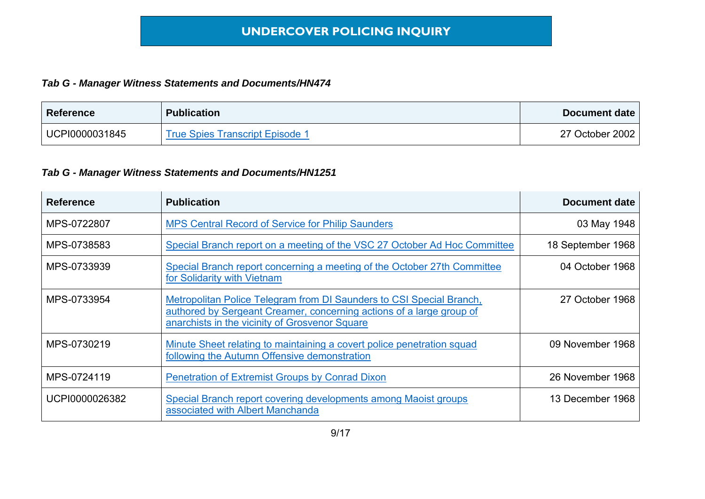#### *Tab G - Manager Witness Statements and Documents/HN474*

| <b>Reference</b> | <b>Publication</b>                     | Document date   |
|------------------|----------------------------------------|-----------------|
| UCPI0000031845   | <b>True Spies Transcript Episode 1</b> | 27 October 2002 |

| <b>Reference</b> | <b>Publication</b>                                                                                                                                                                             | <b>Document date</b> |
|------------------|------------------------------------------------------------------------------------------------------------------------------------------------------------------------------------------------|----------------------|
| MPS-0722807      | <b>MPS Central Record of Service for Philip Saunders</b>                                                                                                                                       | 03 May 1948          |
| MPS-0738583      | Special Branch report on a meeting of the VSC 27 October Ad Hoc Committee                                                                                                                      | 18 September 1968    |
| MPS-0733939      | Special Branch report concerning a meeting of the October 27th Committee<br>for Solidarity with Vietnam                                                                                        | 04 October 1968      |
| MPS-0733954      | Metropolitan Police Telegram from DI Saunders to CSI Special Branch,<br>authored by Sergeant Creamer, concerning actions of a large group of<br>anarchists in the vicinity of Grosvenor Square | 27 October 1968      |
| MPS-0730219      | Minute Sheet relating to maintaining a covert police penetration squad<br>following the Autumn Offensive demonstration                                                                         | 09 November 1968     |
| MPS-0724119      | <b>Penetration of Extremist Groups by Conrad Dixon</b>                                                                                                                                         | 26 November 1968     |
| UCPI0000026382   | Special Branch report covering developments among Maoist groups<br>associated with Albert Manchanda                                                                                            | 13 December 1968     |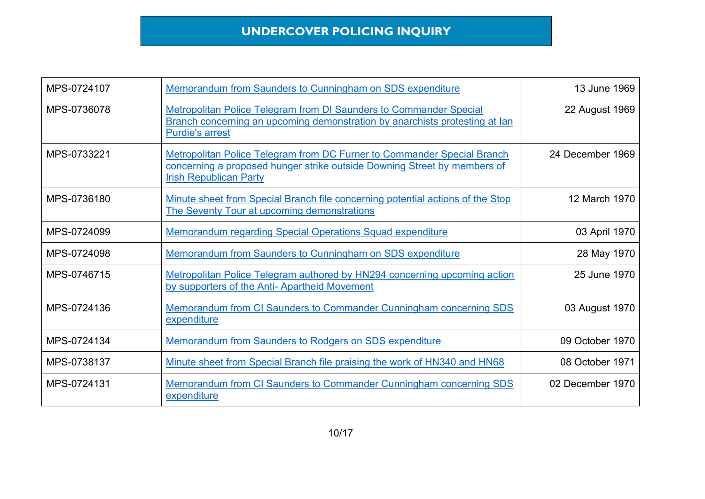| MPS-0724107 | Memorandum from Saunders to Cunningham on SDS expenditure                                                                                                                            | 13 June 1969     |
|-------------|--------------------------------------------------------------------------------------------------------------------------------------------------------------------------------------|------------------|
| MPS-0736078 | <b>Metropolitan Police Telegram from DI Saunders to Commander Special</b><br>Branch concerning an upcoming demonstration by anarchists protesting at lan<br><b>Purdie's arrest</b>   | 22 August 1969   |
| MPS-0733221 | Metropolitan Police Telegram from DC Furner to Commander Special Branch<br>concerning a proposed hunger strike outside Downing Street by members of<br><b>Irish Republican Party</b> | 24 December 1969 |
| MPS-0736180 | Minute sheet from Special Branch file concerning potential actions of the Stop<br>The Seventy Tour at upcoming demonstrations                                                        | 12 March 1970    |
| MPS-0724099 | <b>Memorandum regarding Special Operations Squad expenditure</b>                                                                                                                     | 03 April 1970    |
| MPS-0724098 | Memorandum from Saunders to Cunningham on SDS expenditure                                                                                                                            | 28 May 1970      |
| MPS-0746715 | Metropolitan Police Telegram authored by HN294 concerning upcoming action<br>by supporters of the Anti-Apartheid Movement                                                            | 25 June 1970     |
| MPS-0724136 | Memorandum from CI Saunders to Commander Cunningham concerning SDS<br>expenditure                                                                                                    | 03 August 1970   |
| MPS-0724134 | <b>Memorandum from Saunders to Rodgers on SDS expenditure</b>                                                                                                                        | 09 October 1970  |
| MPS-0738137 | Minute sheet from Special Branch file praising the work of HN340 and HN68                                                                                                            | 08 October 1971  |
| MPS-0724131 | Memorandum from CI Saunders to Commander Cunningham concerning SDS<br>expenditure                                                                                                    | 02 December 1970 |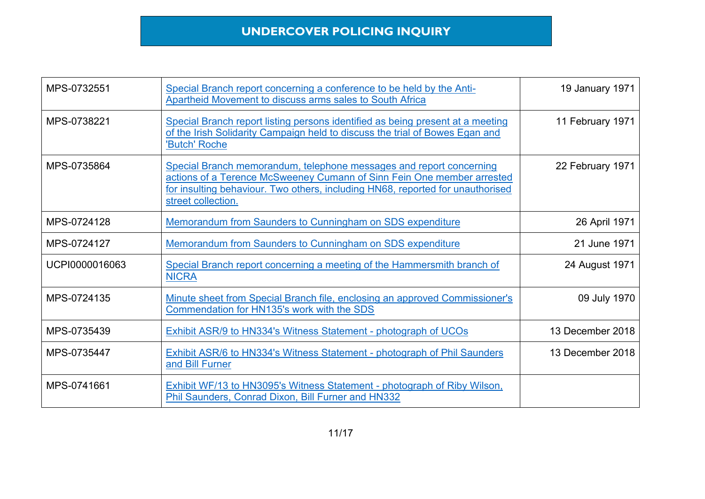| MPS-0732551    | Special Branch report concerning a conference to be held by the Anti-<br><b>Apartheid Movement to discuss arms sales to South Africa</b>                                                                                                              | 19 January 1971  |
|----------------|-------------------------------------------------------------------------------------------------------------------------------------------------------------------------------------------------------------------------------------------------------|------------------|
| MPS-0738221    | Special Branch report listing persons identified as being present at a meeting<br>of the Irish Solidarity Campaign held to discuss the trial of Bowes Egan and<br>'Butch' Roche                                                                       | 11 February 1971 |
| MPS-0735864    | Special Branch memorandum, telephone messages and report concerning<br>actions of a Terence McSweeney Cumann of Sinn Fein One member arrested<br>for insulting behaviour. Two others, including HN68, reported for unauthorised<br>street collection. | 22 February 1971 |
| MPS-0724128    | Memorandum from Saunders to Cunningham on SDS expenditure                                                                                                                                                                                             | 26 April 1971    |
| MPS-0724127    | <b>Memorandum from Saunders to Cunningham on SDS expenditure</b>                                                                                                                                                                                      | 21 June 1971     |
| UCPI0000016063 | Special Branch report concerning a meeting of the Hammersmith branch of<br><b>NICRA</b>                                                                                                                                                               | 24 August 1971   |
| MPS-0724135    | Minute sheet from Special Branch file, enclosing an approved Commissioner's<br>Commendation for HN135's work with the SDS                                                                                                                             | 09 July 1970     |
| MPS-0735439    | Exhibit ASR/9 to HN334's Witness Statement - photograph of UCOs                                                                                                                                                                                       | 13 December 2018 |
| MPS-0735447    | Exhibit ASR/6 to HN334's Witness Statement - photograph of Phil Saunders<br>and Bill Furner                                                                                                                                                           | 13 December 2018 |
| MPS-0741661    | Exhibit WF/13 to HN3095's Witness Statement - photograph of Riby Wilson,<br>Phil Saunders, Conrad Dixon, Bill Furner and HN332                                                                                                                        |                  |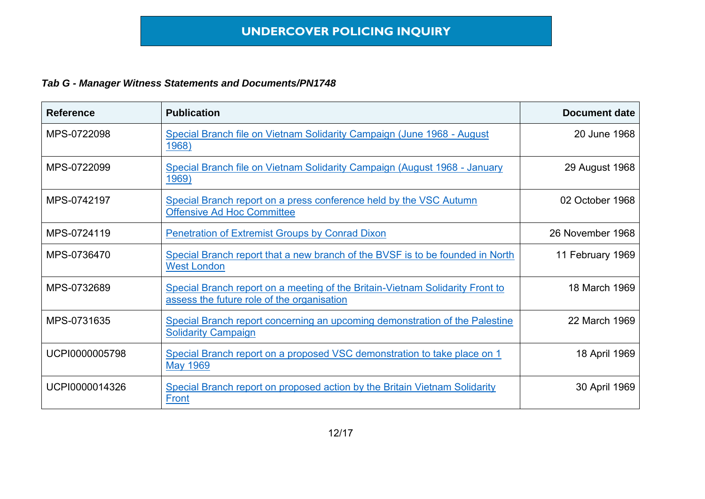| <b>Reference</b> | <b>Publication</b>                                                                                                          | <b>Document date</b> |
|------------------|-----------------------------------------------------------------------------------------------------------------------------|----------------------|
| MPS-0722098      | Special Branch file on Vietnam Solidarity Campaign (June 1968 - August<br><u>1968)</u>                                      | 20 June 1968         |
| MPS-0722099      | Special Branch file on Vietnam Solidarity Campaign (August 1968 - January<br>1969)                                          | 29 August 1968       |
| MPS-0742197      | Special Branch report on a press conference held by the VSC Autumn<br><b>Offensive Ad Hoc Committee</b>                     | 02 October 1968      |
| MPS-0724119      | <b>Penetration of Extremist Groups by Conrad Dixon</b>                                                                      | 26 November 1968     |
| MPS-0736470      | Special Branch report that a new branch of the BVSF is to be founded in North<br><b>West London</b>                         | 11 February 1969     |
| MPS-0732689      | Special Branch report on a meeting of the Britain-Vietnam Solidarity Front to<br>assess the future role of the organisation | 18 March 1969        |
| MPS-0731635      | Special Branch report concerning an upcoming demonstration of the Palestine<br><b>Solidarity Campaign</b>                   | 22 March 1969        |
| UCPI0000005798   | Special Branch report on a proposed VSC demonstration to take place on 1<br><b>May 1969</b>                                 | 18 April 1969        |
| UCPI0000014326   | Special Branch report on proposed action by the Britain Vietnam Solidarity<br>Front                                         | 30 April 1969        |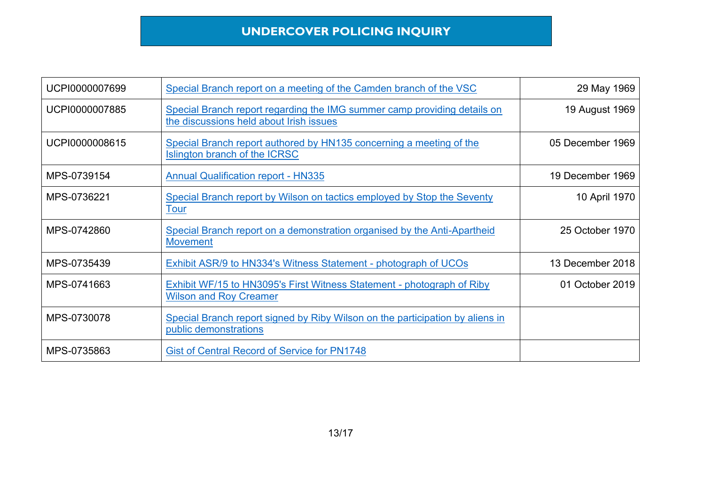| UCPI0000007699 | Special Branch report on a meeting of the Camden branch of the VSC                                                  | 29 May 1969      |
|----------------|---------------------------------------------------------------------------------------------------------------------|------------------|
| UCPI0000007885 | Special Branch report regarding the IMG summer camp providing details on<br>the discussions held about Irish issues | 19 August 1969   |
| UCPI0000008615 | Special Branch report authored by HN135 concerning a meeting of the<br>Islington branch of the ICRSC                | 05 December 1969 |
| MPS-0739154    | <b>Annual Qualification report - HN335</b>                                                                          | 19 December 1969 |
| MPS-0736221    | Special Branch report by Wilson on tactics employed by Stop the Seventy<br><b>Tour</b>                              | 10 April 1970    |
| MPS-0742860    | Special Branch report on a demonstration organised by the Anti-Apartheid<br><b>Movement</b>                         | 25 October 1970  |
| MPS-0735439    | Exhibit ASR/9 to HN334's Witness Statement - photograph of UCOs                                                     | 13 December 2018 |
| MPS-0741663    | <b>Exhibit WF/15 to HN3095's First Witness Statement - photograph of Riby</b><br><b>Wilson and Roy Creamer</b>      | 01 October 2019  |
| MPS-0730078    | Special Branch report signed by Riby Wilson on the participation by aliens in<br>public demonstrations              |                  |
| MPS-0735863    | <b>Gist of Central Record of Service for PN1748</b>                                                                 |                  |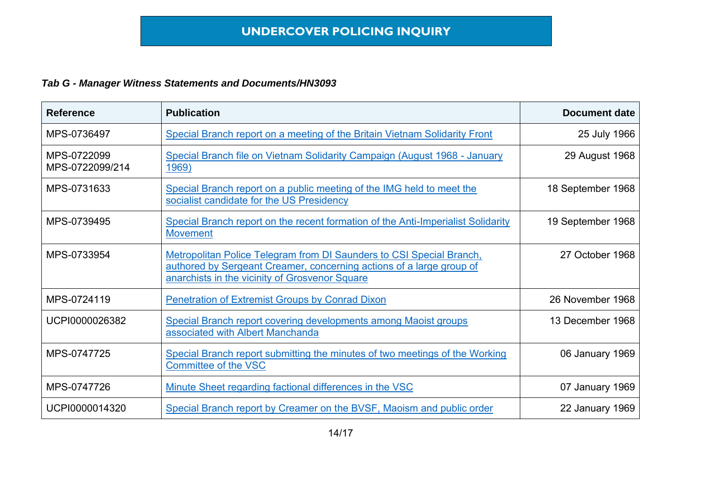| <b>Reference</b>               | <b>Publication</b>                                                                                                                                                                             | <b>Document date</b> |
|--------------------------------|------------------------------------------------------------------------------------------------------------------------------------------------------------------------------------------------|----------------------|
| MPS-0736497                    | Special Branch report on a meeting of the Britain Vietnam Solidarity Front                                                                                                                     | 25 July 1966         |
| MPS-0722099<br>MPS-0722099/214 | Special Branch file on Vietnam Solidarity Campaign (August 1968 - January<br>1969)                                                                                                             | 29 August 1968       |
| MPS-0731633                    | Special Branch report on a public meeting of the IMG held to meet the<br>socialist candidate for the US Presidency                                                                             | 18 September 1968    |
| MPS-0739495                    | Special Branch report on the recent formation of the Anti-Imperialist Solidarity<br><b>Movement</b>                                                                                            | 19 September 1968    |
| MPS-0733954                    | Metropolitan Police Telegram from DI Saunders to CSI Special Branch,<br>authored by Sergeant Creamer, concerning actions of a large group of<br>anarchists in the vicinity of Grosvenor Square | 27 October 1968      |
| MPS-0724119                    | <b>Penetration of Extremist Groups by Conrad Dixon</b>                                                                                                                                         | 26 November 1968     |
| UCPI0000026382                 | Special Branch report covering developments among Maoist groups<br>associated with Albert Manchanda                                                                                            | 13 December 1968     |
| MPS-0747725                    | Special Branch report submitting the minutes of two meetings of the Working<br>Committee of the VSC                                                                                            | 06 January 1969      |
| MPS-0747726                    | Minute Sheet regarding factional differences in the VSC                                                                                                                                        | 07 January 1969      |
| UCPI0000014320                 | Special Branch report by Creamer on the BVSF, Maoism and public order                                                                                                                          | 22 January 1969      |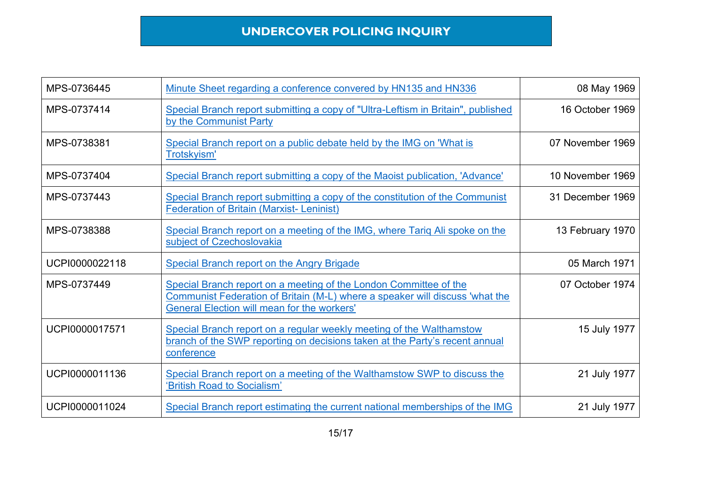| MPS-0736445    | Minute Sheet regarding a conference convered by HN135 and HN336                                                                                                                                         | 08 May 1969      |
|----------------|---------------------------------------------------------------------------------------------------------------------------------------------------------------------------------------------------------|------------------|
| MPS-0737414    | Special Branch report submitting a copy of "Ultra-Leftism in Britain", published<br>by the Communist Party                                                                                              | 16 October 1969  |
| MPS-0738381    | Special Branch report on a public debate held by the IMG on 'What is<br>Trotskyism'                                                                                                                     | 07 November 1969 |
| MPS-0737404    | Special Branch report submitting a copy of the Maoist publication, 'Advance'                                                                                                                            | 10 November 1969 |
| MPS-0737443    | Special Branch report submitting a copy of the constitution of the Communist<br><b>Federation of Britain (Marxist-Leninist)</b>                                                                         | 31 December 1969 |
| MPS-0738388    | Special Branch report on a meeting of the IMG, where Tariq Ali spoke on the<br>subject of Czechoslovakia                                                                                                | 13 February 1970 |
| UCPI0000022118 | <b>Special Branch report on the Angry Brigade</b>                                                                                                                                                       | 05 March 1971    |
| MPS-0737449    | Special Branch report on a meeting of the London Committee of the<br>Communist Federation of Britain (M-L) where a speaker will discuss 'what the<br><b>General Election will mean for the workers'</b> | 07 October 1974  |
| UCPI0000017571 | Special Branch report on a regular weekly meeting of the Walthamstow<br>branch of the SWP reporting on decisions taken at the Party's recent annual<br>conference                                       | 15 July 1977     |
| UCPI0000011136 | Special Branch report on a meeting of the Walthamstow SWP to discuss the<br>'British Road to Socialism'                                                                                                 | 21 July 1977     |
| UCPI0000011024 | Special Branch report estimating the current national memberships of the IMG                                                                                                                            | 21 July 1977     |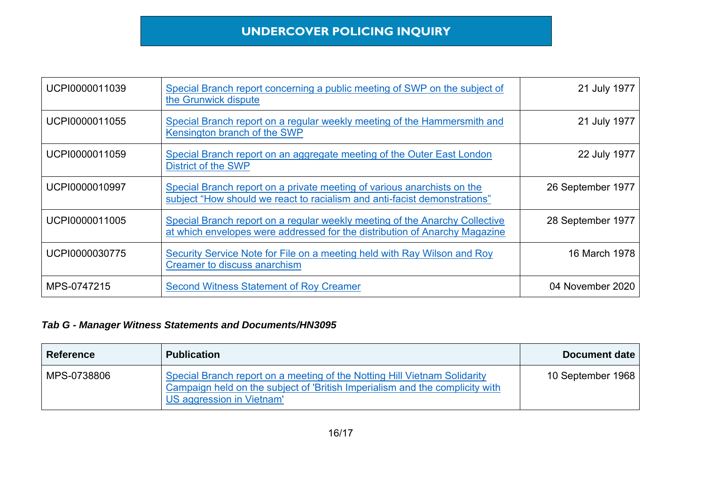| UCPI0000011039 | Special Branch report concerning a public meeting of SWP on the subject of<br>the Grunwick dispute                                                        | 21 July 1977      |
|----------------|-----------------------------------------------------------------------------------------------------------------------------------------------------------|-------------------|
| UCPI0000011055 | Special Branch report on a regular weekly meeting of the Hammersmith and<br>Kensington branch of the SWP                                                  | 21 July 1977      |
| UCPI0000011059 | Special Branch report on an aggregate meeting of the Outer East London<br><b>District of the SWP</b>                                                      | 22 July 1977      |
| UCPI0000010997 | Special Branch report on a private meeting of various anarchists on the<br>subject "How should we react to racialism and anti-facist demonstrations"      | 26 September 1977 |
| UCPI0000011005 | Special Branch report on a regular weekly meeting of the Anarchy Collective<br>at which envelopes were addressed for the distribution of Anarchy Magazine | 28 September 1977 |
| UCPI0000030775 | Security Service Note for File on a meeting held with Ray Wilson and Roy<br><b>Creamer to discuss anarchism</b>                                           | 16 March 1978     |
| MPS-0747215    | <b>Second Witness Statement of Roy Creamer</b>                                                                                                            | 04 November 2020  |

| <b>Reference</b> | <b>Publication</b>                                                                                                                                                                     | Document date     |
|------------------|----------------------------------------------------------------------------------------------------------------------------------------------------------------------------------------|-------------------|
| MPS-0738806      | Special Branch report on a meeting of the Notting Hill Vietnam Solidarity<br>Campaign held on the subject of 'British Imperialism and the complicity with<br>US aggression in Vietnam' | 10 September 1968 |